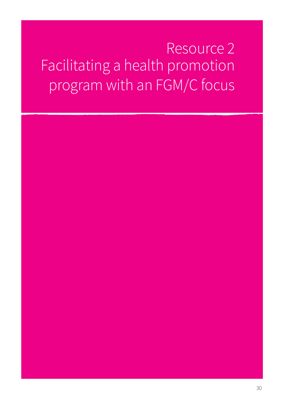# Resource 2 Facilitating a health promotion program with an FGM/C focus

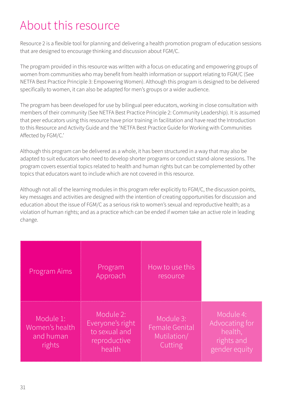# About this resource

Resource 2 is a flexible tool for planning and delivering a health promotion program of education sessions that are designed to encourage thinking and discussion about FGM/C.

The program provided in this resource was written with a focus on educating and empowering groups of women from communities who may benefit from health information or support relating to FGM/C (See NETFA Best Practice Principle 3: Empowering Women). Although this program is designed to be delivered specifically to women, it can also be adapted for men's groups or a wider audience.

The program has been developed for use by bilingual peer educators, working in close consultation with members of their community (See NETFA Best Practice Principle 2: Community Leadership). It is assumed that peer educators using this resource have prior training in facilitation and have read the Introduction to this Resource and Activity Guide and the 'NETFA Best Practice Guide for Working with Communities Affected by FGM/C.'

Although this program can be delivered as a whole, it has been structured in a way that may also be adapted to suit educators who need to develop shorter programs or conduct stand-alone sessions. The program covers essential topics related to health and human rights but can be complemented by other topics that educators want to include which are not covered in this resource.

Although not all of the learning modules in this program refer explicitly to FGM/C, the discussion points, key messages and activities are designed with the intention of creating opportunities for discussion and education about the issue of FGM/C as a serious risk to women's sexual and reproductive health; as a violation of human rights; and as a practice which can be ended if women take an active role in leading change.

| Program Aims                                       | Program<br>Approach                                                      | How to use this<br>resource                                  |                                                                       |
|----------------------------------------------------|--------------------------------------------------------------------------|--------------------------------------------------------------|-----------------------------------------------------------------------|
| Module 1:<br>Women's health<br>and human<br>rights | Module 2:<br>Everyone's right<br>to sexual and<br>reproductive<br>health | Module 3:<br><b>Female Genital</b><br>Mutilation/<br>Cutting | Module 4:<br>Advocating for<br>health,<br>rights and<br>gender equity |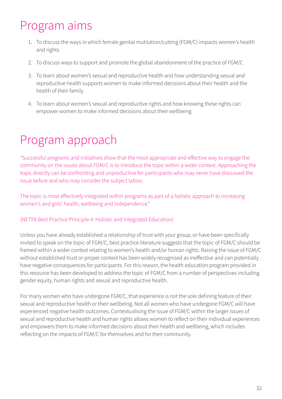# Program aims

- 1. To discuss the ways in which female genital mutilation/cutting (FGM/C) impacts women's health and rights
- 2. To discuss ways to support and promote the global abandonment of the practice of FGM/C
- 3. To learn about women's sexual and reproductive health and how understanding sexual and reproductive health supports women to make informed decisions about their health and the health of their family
- 4. To learn about women's sexual and reproductive rights and how knowing these rights can empower women to make informed decisions about their wellbeing

# Program approach

"Successful programs and initiatives show that the most appropriate and effective way to engage the community on the issues about FGM/C is to introduce the topic within a wider context. Approaching the topic directly can be confronting and unproductive for participants who may never have discussed the issue before and who may consider the subject taboo.

The topic is most effectively integrated within programs as part of a holistic approach to increasing women's and girls' health, wellbeing and independence."

#### (NETFA Best Practice Principle 4: Holistic and Integrated Education)

Unless you have already established a relationship of trust with your group, or have been specifically invited to speak on the topic of FGM/C, best practice literature suggests that the topic of FGM/C should be framed within a wider context relating to women's health and/or human rights. Raising the issue of FGM/C without established trust or proper context has been widely recognised as ineffective and can potentially have negative consequences for participants. For this reason, the health education program provided in this resource has been developed to address the topic of FGM/C from a number of perspectives including gender equity, human rights and sexual and reproductive health.

For many women who have undergone FGM/C, that experience is not the sole defining feature of their sexual and reproductive health or their wellbeing. Not all women who have undergone FGM/C will have experienced negative health outcomes. Contextualising the issue of FGM/C within the larger issues of sexual and reproductive health and human rights allows women to reflect on their individual experiences and empowers them to make informed decisions about their health and wellbeing, which includes reflecting on the impacts of FGM/C for themselves and for their community.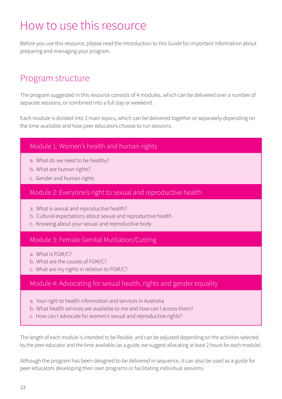## How to use this resource

Before you use this resource, please read the introduction to this Guide for important information about preparing and managing your program.

### Program structure

The program suggested in this resource consists of 4 modules, which can be delivered over a number of separate sessions, or combined into a full day or weekend.

Each module is divided into 3 main topics, which can be delivered together or separately depending on the time available and how peer educators choose to run sessions.

### Module 1: Women's health and human rights

- a. What do we need to be healthy?
- b. What are human rights?
- c. Gender and human rights

### Module 2: Everyone's right to sexual and reproductive health

- a. What is sexual and reproductive health?
- b. Cultural expectations about sexual and reproductive health
- c. Knowing about your sexual and reproductive body

### Module 3: Female Genital Mutilation/Cutting

- a. What is FGM/C?
- b. What are the causes of FGM/C?
- c. What are my rights in relation to FGM/C?

### Module 4: Advocating for sexual health, rights and gender equality

- a. Your right to health information and services in Australia
- b. What health services are available to me and how can I access them?
- c. How can I advocate for women's sexual and reproductive rights?

The length of each module is intended to be flexible, and can be adjusted depending on the activities selected by the peer educator and the time available (as a guide, we suggest allocating at least 2 hours for each module).

Although the program has been designed to be delivered in sequence, it can also be used as a guide for peer educators developing their own programs or facilitating individual sessions.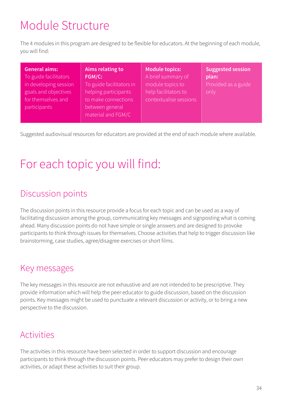# Module Structure

The 4 modules in this program are designed to be flexible for educators. At the beginning of each module, you will find:

| <b>General aims:</b>  | Aims relating to         | <b>Module topics:</b>  | <b>Suggested session</b> |
|-----------------------|--------------------------|------------------------|--------------------------|
| To guide facilitators | FGM/C:                   | A brief summary of     | plan:                    |
| in developing session | To guide facilitators in | module topics to       | Provided as a guide,     |
| goals and objectives  | helping participants     | help facilitators to   | only                     |
| for themselves and    | to make connections      | contextualise sessions |                          |
| participants          | between general          |                        |                          |
|                       | material and FGM/C       |                        |                          |

Suggested audiovisual resources for educators are provided at the end of each module where available.

# For each topic you will find:

### Discussion points

The discussion points in this resource provide a focus for each topic and can be used as a way of facilitating discussion among the group, communicating key messages and signposting what is coming ahead. Many discussion points do not have simple or single answers and are designed to provoke participants to think through issues for themselves. Choose activities that help to trigger discussion like brainstorming, case studies, agree/disagree exercises or short films.

### Key messages

The key messages in this resource are not exhaustive and are not intended to be prescriptive. They provide information which will help the peer educator to guide discussion, based on the discussion points. Key messages might be used to punctuate a relevant discussion or activity, or to bring a new perspective to the discussion.

### Activities

The activities in this resource have been selected in order to support discussion and encourage participants to think through the discussion points. Peer educators may prefer to design their own activities, or adapt these activities to suit their group.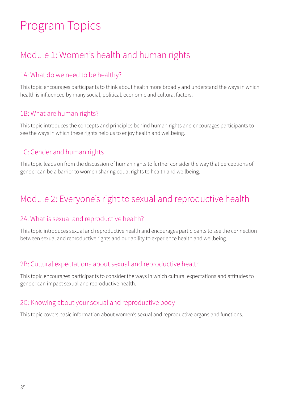# Program Topics

### Module 1: Women's health and human rights

### 1A: What do we need to be healthy?

This topic encourages participants to think about health more broadly and understand the ways in which health is influenced by many social, political, economic and cultural factors.

### 1B: What are human rights?

This topic introduces the concepts and principles behind human rights and encourages participants to see the ways in which these rights help us to enjoy health and wellbeing.

### 1C: Gender and human rights

This topic leads on from the discussion of human rights to further consider the way that perceptions of gender can be a barrier to women sharing equal rights to health and wellbeing.

### Module 2: Everyone's right to sexual and reproductive health

### 2A: What is sexual and reproductive health?

This topic introduces sexual and reproductive health and encourages participants to see the connection between sexual and reproductive rights and our ability to experience health and wellbeing.

### 2B: Cultural expectations about sexual and reproductive health

This topic encourages participants to consider the ways in which cultural expectations and attitudes to gender can impact sexual and reproductive health.

### 2C: Knowing about your sexual and reproductive body

This topic covers basic information about women's sexual and reproductive organs and functions.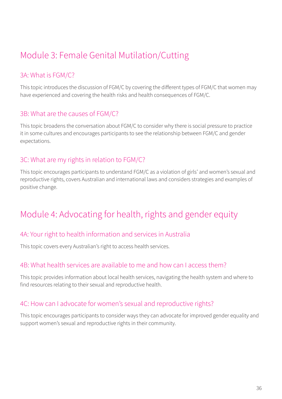## Module 3: Female Genital Mutilation/Cutting

### 3A: What is FGM/C?

This topic introduces the discussion of FGM/C by covering the different types of FGM/C that women may have experienced and covering the health risks and health consequences of FGM/C.

### 3B: What are the causes of FGM/C?

This topic broadens the conversation about FGM/C to consider why there is social pressure to practice it in some cultures and encourages participants to see the relationship between FGM/C and gender expectations.

### 3C: What are my rights in relation to FGM/C?

This topic encourages participants to understand FGM/C as a violation of girls' and women's sexual and reproductive rights, covers Australian and international laws and considers strategies and examples of positive change.

## Module 4: Advocating for health, rights and gender equity

### 4A: Your right to health information and services in Australia

This topic covers every Australian's right to access health services.

### 4B: What health services are available to me and how can I access them?

This topic provides information about local health services, navigating the health system and where to find resources relating to their sexual and reproductive health.

### 4C: How can I advocate for women's sexual and reproductive rights?

This topic encourages participants to consider ways they can advocate for improved gender equality and support women's sexual and reproductive rights in their community.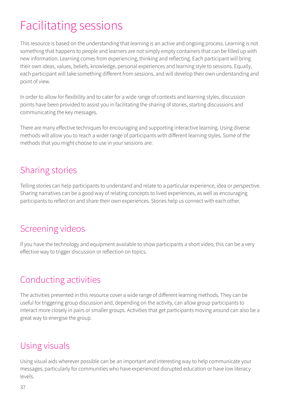# Facilitating sessions

This resource is based on the understanding that learning is an active and ongoing process. Learning is not something that happens to people and learners are not simply empty containers that can be filled up with new information. Learning comes from experiencing, thinking and reflecting. Each participant will bring their own ideas, values, beliefs, knowledge, personal experiences and learning style to sessions. Equally, each participant will take something different from sessions, and will develop their own understanding and point of view.

In order to allow for flexibility and to cater for a wide range of contexts and learning styles, discussion points have been provided to assist you in facilitating the sharing of stories, starting discussions and communicating the key messages.

There are many effective techniques for encouraging and supporting interactive learning. Using diverse methods will allow you to reach a wider range of participants with different learning styles. Some of the methods that you might choose to use in your sessions are:

### Sharing stories

Telling stories can help participants to understand and relate to a particular experience, idea or perspective. Sharing narratives can be a good way of relating concepts to lived experiences, as well as encouraging participants to reflect on and share their own experiences. Stories help us connect with each other.

### Screening videos

If you have the technology and equipment available to show participants a short video, this can be a very effective way to trigger discussion or reflection on topics.

## Conducting activities

The activities presented in this resource cover a wide range of different learning methods. They can be useful for triggering group discussion and, depending on the activity, can allow group participants to interact more closely in pairs or smaller groups. Activities that get participants moving around can also be a great way to energise the group.

### Using visuals

Using visual aids wherever possible can be an important and interesting way to help communicate your messages, particularly for communities who have experienced disrupted education or have low literacy levels.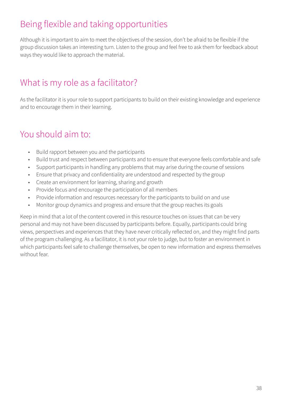## Being flexible and taking opportunities

Although it is important to aim to meet the objectives of the session, don't be afraid to be flexible if the group discussion takes an interesting turn. Listen to the group and feel free to ask them for feedback about ways they would like to approach the material.

## What is my role as a facilitator?

As the facilitator it is your role to support participants to build on their existing knowledge and experience and to encourage them in their learning.

## You should aim to:

- Build rapport between you and the participants
- Build trust and respect between participants and to ensure that everyone feels comfortable and safe
- Support participants in handling any problems that may arise during the course of sessions
- Ensure that privacy and confidentiality are understood and respected by the group
- Create an environment for learning, sharing and growth
- Provide focus and encourage the participation of all members
- Provide information and resources necessary for the participants to build on and use
- Monitor group dynamics and progress and ensure that the group reaches its goals

Keep in mind that a lot of the content covered in this resource touches on issues that can be very personal and may not have been discussed by participants before. Equally, participants could bring views, perspectives and experiences that they have never critically reflected on, and they might find parts of the program challenging. As a facilitator, it is not your role to judge, but to foster an environment in which participants feel safe to challenge themselves, be open to new information and express themselves without fear.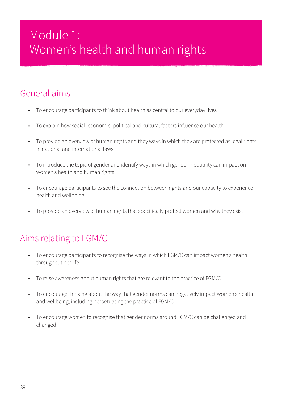# Module 1: Women's health and human rights

### General aims

- To encourage participants to think about health as central to our everyday lives
- To explain how social, economic, political and cultural factors influence our health
- To provide an overview of human rights and they ways in which they are protected as legal rights in national and international laws
- To introduce the topic of gender and identify ways in which gender inequality can impact on women's health and human rights
- To encourage participants to see the connection between rights and our capacity to experience health and wellbeing
- To provide an overview of human rights that specifically protect women and why they exist

## Aims relating to FGM/C

- To encourage participants to recognise the ways in which FGM/C can impact women's health throughout her life
- To raise awareness about human rights that are relevant to the practice of FGM/C
- To encourage thinking about the way that gender norms can negatively impact women's health and wellbeing, including perpetuating the practice of FGM/C
- To encourage women to recognise that gender norms around FGM/C can be challenged and changed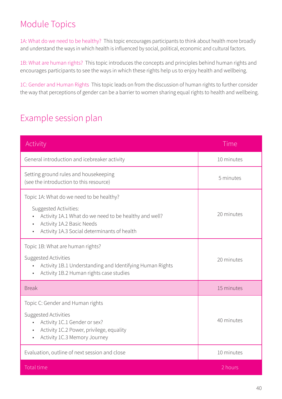## Module Topics

1A: What do we need to be healthy? This topic encourages participants to think about health more broadly and understand the ways in which health is influenced by social, political, economic and cultural factors.

1B: What are human rights? This topic introduces the concepts and principles behind human rights and encourages participants to see the ways in which these rights help us to enjoy health and wellbeing.

1C: Gender and Human Rights This topic leads on from the discussion of human rights to further consider the way that perceptions of gender can be a barrier to women sharing equal rights to health and wellbeing.

## Example session plan

| Activity                                                                                                                                                                                                                         | Time       |
|----------------------------------------------------------------------------------------------------------------------------------------------------------------------------------------------------------------------------------|------------|
| General introduction and icebreaker activity                                                                                                                                                                                     | 10 minutes |
| Setting ground rules and housekeeping<br>(see the introduction to this resource)                                                                                                                                                 | 5 minutes  |
| Topic 1A: What do we need to be healthy?<br>Suggested Activities:<br>Activity 1A.1 What do we need to be healthy and well?<br>Activity 1A.2 Basic Needs<br>$\bullet$<br>Activity 1A.3 Social determinants of health<br>$\bullet$ | 20 minutes |
| Topic 1B: What are human rights?<br><b>Suggested Activities</b><br>Activity 1B.1 Understanding and Identifying Human Rights<br>Activity 1B.2 Human rights case studies<br>$\bullet$                                              | 20 minutes |
| <b>Break</b>                                                                                                                                                                                                                     | 15 minutes |
| Topic C: Gender and Human rights<br>Suggested Activities<br>Activity 1C.1 Gender or sex?<br>$\bullet$<br>Activity 1C.2 Power, privilege, equality<br>Activity 1C.3 Memory Journey<br>$\bullet$                                   | 40 minutes |
| Evaluation, outline of next session and close                                                                                                                                                                                    | 10 minutes |
| Total time                                                                                                                                                                                                                       | 2 hours    |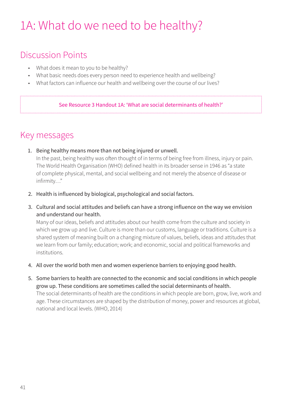# 1A: What do we need to be healthy?

### Discussion Points

- What does it mean to you to be healthy?
- What basic needs does every person need to experience health and wellbeing?
- What factors can influence our health and wellbeing over the course of our lives?

See Resource 3 Handout 1A: 'What are social determinants of health?'

### Key messages

- 1. Being healthy means more than not being injured or unwell. In the past, being healthy was often thought of in terms of being free from illness, injury or pain. The World Health Organisation (WHO) defined health in its broader sense in 1946 as "a state of complete physical, mental, and social wellbeing and not merely the absence of disease or infirmity…"
- 2. Health is influenced by biological, psychological and social factors.
- 3. Cultural and social attitudes and beliefs can have a strong influence on the way we envision and understand our health.

Many of our ideas, beliefs and attitudes about our health come from the culture and society in which we grow up and live. Culture is more than our customs, language or traditions. Culture is a shared system of meaning built on a changing mixture of values, beliefs, ideas and attitudes that we learn from our family; education; work; and economic, social and political frameworks and institutions.

- 4. All over the world both men and women experience barriers to enjoying good health.
- 5. Some barriers to health are connected to the economic and social conditions in which people grow up. These conditions are sometimes called the social determinants of health. The social determinants of health are the conditions in which people are born, grow, live, work and

age. These circumstances are shaped by the distribution of money, power and resources at global, national and local levels. (WHO, 2014)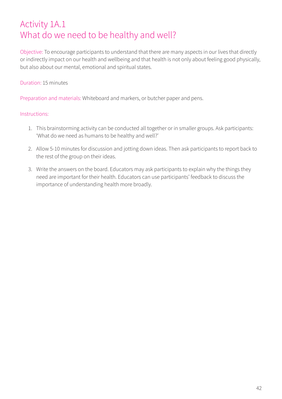### Activity 1A.1 What do we need to be healthy and well?

Objective: To encourage participants to understand that there are many aspects in our lives that directly or indirectly impact on our health and wellbeing and that health is not only about feeling good physically, but also about our mental, emotional and spiritual states.

#### Duration: 15 minutes

Preparation and materials: Whiteboard and markers, or butcher paper and pens.

- 1. This brainstorming activity can be conducted all together or in smaller groups. Ask participants: 'What do we need as humans to be healthy and well?'
- 2. Allow 5-10 minutes for discussion and jotting down ideas. Then ask participants to report back to the rest of the group on their ideas.
- 3. Write the answers on the board. Educators may ask participants to explain why the things they need are important for their health. Educators can use participants' feedback to discuss the importance of understanding health more broadly.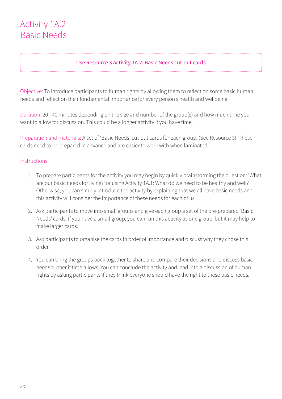#### Use Resource 3 Activity 1A.2: Basic Needs cut-out cards

Objective: To introduce participants to human rights by allowing them to reflect on some basic human needs and reflect on their fundamental importance for every person's health and wellbeing.

Duration: 20 - 40 minutes depending on the size and number of the group(s) and how much time you want to allow for discussion. This could be a longer activity if you have time.

Preparation and materials: A set of 'Basic Needs' cut-out cards for each group. (See Resource 3). These cards need to be prepared in advance and are easier to work with when laminated.

- 1. To prepare participants for the activity you may begin by quickly brainstorming the question: 'What are our basic needs for living?' or using Activity 1A.1: What do we need to be healthy and well? Otherwise, you can simply introduce the activity by explaining that we all have basic needs and this activity will consider the importance of these needs for each of us.
- 2. Ask participants to move into small groups and give each group a set of the pre-prepared 'Basic Needs' cards. If you have a small group, you can run this activity as one group, but it may help to make larger cards.
- 3. Ask participants to organise the cards in order of importance and discuss why they chose this order.
- 4. You can bring the groups back together to share and compare their decisions and discuss basic needs further if time allows. You can conclude the activity and lead into a discussion of human rights by asking participants if they think everyone should have the right to these basic needs.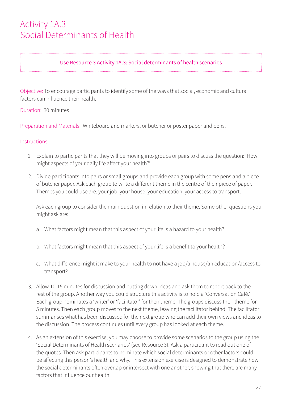### Activity 1A.3 Social Determinants of Health

#### Use Resource 3 Activity 1A.3: Social determinants of health scenarios

Objective: To encourage participants to identify some of the ways that social, economic and cultural factors can influence their health.

Duration: 30 minutes

Preparation and Materials: Whiteboard and markers, or butcher or poster paper and pens.

#### Instructions:

- 1. Explain to participants that they will be moving into groups or pairs to discuss the question: 'How might aspects of your daily life affect your health?'
- 2. Divide participants into pairs or small groups and provide each group with some pens and a piece of butcher paper. Ask each group to write a different theme in the centre of their piece of paper. Themes you could use are: your job; your house; your education; your access to transport.

Ask each group to consider the main question in relation to their theme. Some other questions you might ask are:

- a. What factors might mean that this aspect of your life is a hazard to your health?
- b. What factors might mean that this aspect of your life is a benefit to your health?
- c. What difference might it make to your health to not have a job/a house/an education/access to transport?
- 3. Allow 10-15 minutes for discussion and putting down ideas and ask them to report back to the rest of the group. Another way you could structure this activity is to hold a 'Conversation Café.' Each group nominates a 'writer' or 'facilitator' for their theme. The groups discuss their theme for 5 minutes. Then each group moves to the next theme, leaving the facilitator behind. The facilitator summarises what has been discussed for the next group who can add their own views and ideas to the discussion. The process continues until every group has looked at each theme.
- 4. As an extension of this exercise, you may choose to provide some scenarios to the group using the 'Social Determinants of Health scenarios' (see Resource 3). Ask a participant to read out one of the quotes. Then ask participants to nominate which social determinants or other factors could be affecting this person's health and why. This extension exercise is designed to demonstrate how the social determinants often overlap or intersect with one another, showing that there are many factors that influence our health.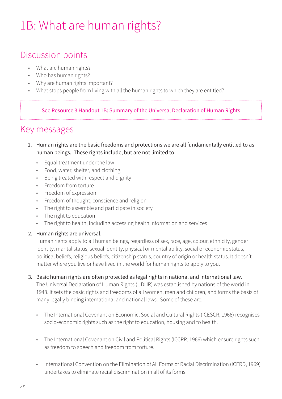# 1B: What are human rights?

### Discussion points

- What are human rights?
- Who has human rights?
- Why are human rights important?
- What stops people from living with all the human rights to which they are entitled?

See Resource 3 Handout 1B: Summary of the Universal Declaration of Human Rights

## Key messages

- 1. Human rights are the basic freedoms and protections we are all fundamentally entitled to as human beings. These rights include, but are not limited to:
	- Equal treatment under the law
	- Food, water, shelter, and clothing
	- Being treated with respect and dignity
	- Freedom from torture
	- Freedom of expression
	- Freedom of thought, conscience and religion
	- The right to assemble and participate in society
	- The right to education
	- The right to health, including accessing health information and services

#### 2. Human rights are universal.

Human rights apply to all human beings, regardless of sex, race, age, colour, ethnicity, gender identity, marital status, sexual identity, physical or mental ability, social or economic status, political beliefs, religious beliefs, citizenship status, country of origin or health status. It doesn't matter where you live or have lived in the world for human rights to apply to you.

#### 3. Basic human rights are often protected as legal rights in national and international law.

The Universal Declaration of Human Rights (UDHR) was established by nations of the world in 1948. It sets the basic rights and freedoms of all women, men and children, and forms the basis of many legally binding international and national laws. Some of these are:

- The International Covenant on Economic, Social and Cultural Rights (ICESCR, 1966) recognises socio-economic rights such as the right to education, housing and to health.
- The International Covenant on Civil and Political Rights (ICCPR, 1966) which ensure rights such as freedom to speech and freedom from torture.
- International Convention on the Elimination of All Forms of Racial Discrimination (ICERD, 1969) undertakes to eliminate racial discrimination in all of its forms.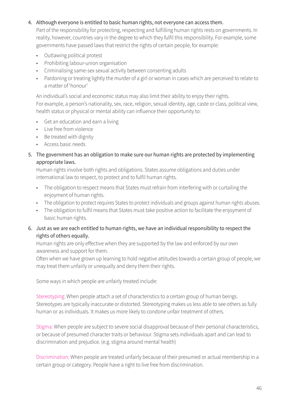#### 4. Although everyone is entitled to basic human rights, not everyone can access them.

Part of the responsibility for protecting, respecting and fulfilling human rights rests on governments. In reality, however, countries vary in the degree to which they fulfil this responsibility. For example, some governments have passed laws that restrict the rights of certain people, for example:

- Outlawing political protest
- Prohibiting labour-union organisation
- Criminalising same-sex sexual activity between consenting adults
- Pardoning or treating lightly the murder of a girl or woman in cases which are perceived to relate to a matter of 'honour'

An individual's social and economic status may also limit their ability to enjoy their rights. For example, a person's nationality, sex, race, religion, sexual identity, age, caste or class, political view, health status or physical or mental ability can influence their opportunity to:

- Get an education and earn a living
- Live free from violence
- Be treated with dignity
- Access basic needs
- 5. The government has an obligation to make sure our human rights are protected by implementing appropriate laws.

Human rights involve both rights and obligations. States assume obligations and duties under international law to respect, to protect and to fulfil human rights.

- The obligation to respect means that States must refrain from interfering with or curtailing the enjoyment of human rights.
- The obligation to protect requires States to protect individuals and groups against human rights abuses.
- The obligation to fulfil means that States must take positive action to facilitate the enjoyment of basic human rights.

#### 6. Just as we are each entitled to human rights, we have an individual responsibility to respect the rights of others equally.

Human rights are only effective when they are supported by the law and enforced by our own awareness and support for them.

Often when we have grown up learning to hold negative attitudes towards a certain group of people, we may treat them unfairly or unequally and deny them their rights.

Some ways in which people are unfairly treated include:

Stereotyping: When people attach a set of characteristics to a certain group of human beings. Stereotypes are typically inaccurate or distorted. Stereotyping makes us less able to see others as fully human or as individuals. It makes us more likely to condone unfair treatment of others.

Stigma: When people are subject to severe social disapproval because of their personal characteristics, or because of presumed character traits or behaviour. Stigma sets individuals apart and can lead to discrimination and prejudice. (e.g. stigma around mental health)

Discrimination: When people are treated unfairly because of their presumed or actual membership in a certain group or category. People have a right to live free from discrimination.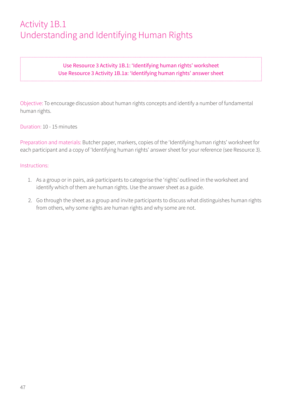### Activity 1B.1 Understanding and Identifying Human Rights

#### Use Resource 3 Activity 1B.1: 'Identifying human rights' worksheet Use Resource 3 Activity 1B.1a: 'Identifying human rights' answer sheet

Objective: To encourage discussion about human rights concepts and identify a number of fundamental human rights.

Duration: 10 - 15 minutes

Preparation and materials: Butcher paper, markers, copies of the 'Identifying human rights' worksheet for each participant and a copy of 'Identifying human rights' answer sheet for your reference (see Resource 3).

- 1. As a group or in pairs, ask participants to categorise the 'rights' outlined in the worksheet and identify which of them are human rights. Use the answer sheet as a guide.
- 2. Go through the sheet as a group and invite participants to discuss what distinguishes human rights from others, why some rights are human rights and why some are not.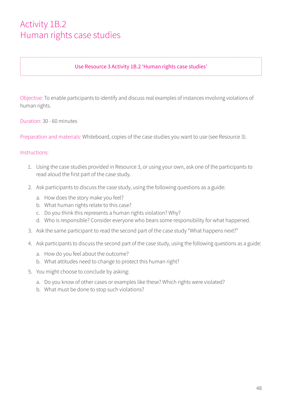### Activity 1B.2 Human rights case studies

#### Use Resource 3 Activity 1B.2 'Human rights case studies'

Objective: To enable participants to identify and discuss real examples of instances involving violations of human rights.

Duration: 30 - 60 minutes

Preparation and materials: Whiteboard, copies of the case studies you want to use (see Resource 3).

- 1. Using the case studies provided in Resource 3, or using your own, ask one of the participants to read aloud the first part of the case study.
- 2. Ask participants to discuss the case study, using the following questions as a guide:
	- a. How does the story make you feel?
	- b. What human rights relate to this case?
	- c. Do you think this represents a human rights violation? Why?
	- d. Who is responsible? Consider everyone who bears some responsibility for what happened.
- 3. Ask the same participant to read the second part of the case study "What happens next?"
- 4. Ask participants to discuss the second part of the case study, using the following questions as a guide:
	- a. How do you feel about the outcome?
	- b. What attitudes need to change to protect this human right?
- 5. You might choose to conclude by asking:
	- a. Do you know of other cases or examples like these? Which rights were violated?
	- b. What must be done to stop such violations?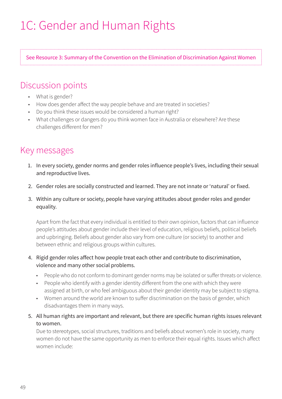# 1C: Gender and Human Rights

See Resource 3: Summary of the Convention on the Elimination of Discrimination Against Women

### Discussion points

- What is gender?
- How does gender affect the way people behave and are treated in societies?
- Do you think these issues would be considered a human right?
- What challenges or dangers do you think women face in Australia or elsewhere? Are these challenges different for men?

## Key messages

- 1. In every society, gender norms and gender roles influence people's lives, including their sexual and reproductive lives.
- 2. Gender roles are socially constructed and learned. They are not innate or 'natural' or fixed.
- 3. Within any culture or society, people have varying attitudes about gender roles and gender equality.

Apart from the fact that every individual is entitled to their own opinion, factors that can influence people's attitudes about gender include their level of education, religious beliefs, political beliefs and upbringing. Beliefs about gender also vary from one culture (or society) to another and between ethnic and religious groups within cultures.

#### 4. Rigid gender roles affect how people treat each other and contribute to discrimination, violence and many other social problems.

- People who do not conform to dominant gender norms may be isolated or suffer threats or violence.
- People who identify with a gender identity different from the one with which they were assigned at birth, or who feel ambiguous about their gender identity may be subject to stigma.
- Women around the world are known to suffer discrimination on the basis of gender, which disadvantages them in many ways.
- 5. All human rights are important and relevant, but there are specific human rights issues relevant to women.

Due to stereotypes, social structures, traditions and beliefs about women's role in society, many women do not have the same opportunity as men to enforce their equal rights. Issues which affect women include: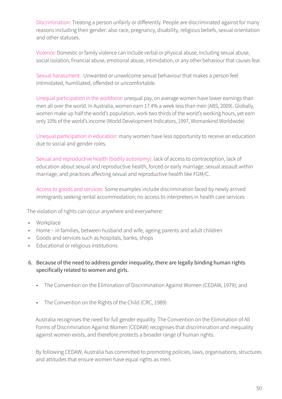Discrimination: Treating a person unfairly or differently. People are discriminated against for many reasons including their gender: also race, pregnancy, disability, religious beliefs, sexual orientation and other statuses.

Violence: Domestic or family violence can include verbal or physical abuse, including sexual abuse, social isolation, financial abuse, emotional abuse, intimidation, or any other behaviour that causes fear.

Sexual harassment: Unwanted or unwelcome sexual behaviour that makes a person feel intimidated, humiliated, offended or uncomfortable.

Unequal participation in the workforce: unequal pay, on average women have lower earnings than men all over the world. In Australia, women earn 17.4% a week less than men (ABS, 2009). Globally, women make up half the world's population, work two thirds of the world's working hours, yet earn only 10% of the world's income (World Development Indicators, 1997, Womankind Worldwide)

Unequal participation in education: many women have less opportunity to receive an education due to social and gender roles.

Sexual and reproductive health (bodily autonomy): lack of access to contraception, lack of education about sexual and reproductive health, forced or early marriage, sexual assault within marriage, and practices affecting sexual and reproductive health like FGM/C.

Access to goods and services: Some examples include discrimination faced by newly arrived immigrants seeking rental accommodation; no access to interpreters in health care services

The violation of rights can occur anywhere and everywhere:

- Workplace
- Home in families, between husband and wife, ageing parents and adult children
- Goods and services such as hospitals, banks, shops
- Educational or religious institutions
- 6. Because of the need to address gender inequality, there are legally binding human rights specifically related to women and girls.
	- The Convention on the Elimination of Discrimination Against Women (CEDAW, 1979); and
	- The Convention on the Rights of the Child (CRC, 1989)

Australia recognises the need for full gender equality. The Convention on the Elimination of All Forms of Discrimination Against Women (CEDAW) recognises that discrimination and inequality against women exists, and therefore protects a broader range of human rights.

By following CEDAW, Australia has committed to promoting policies, laws, organisations, structures and attitudes that ensure women have equal rights as men.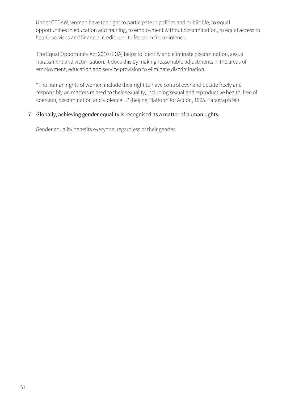Under CEDAW, women have the right to participate in politics and public life, to equal opportunities in education and training, to employment without discrimination, to equal access to health services and financial credit, and to freedom from violence.

The Equal Opportunity Act 2010 (EOA) helps to identify and eliminate discrimination, sexual harassment and victimisation. It does this by making reasonable adjustments in the areas of employment, education and service provision to eliminate discrimination.

"The human rights of women include their right to have control over and decide freely and responsibly on matters related to their sexuality, including sexual and reproductive health, free of coercion, discrimination and violence…" (Beijing Platform for Action, 1995. Paragraph 96)

#### 7. Globally, achieving gender equality is recognised as a matter of human rights.

Gender equality benefits everyone, regardless of their gender.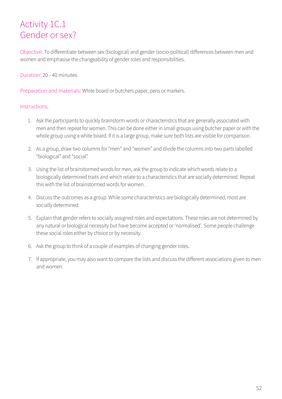### Activity 1C.1 Gender or sex?

Objective: To differentiate between sex (biological) and gender (socio-political) differences between men and women and emphasise the changeability of gender roles and responsibilities.

#### Duration: 20 - 40 minutes

Preparation and materials: White board or butchers paper, pens or markers.

- 1. Ask the participants to quickly brainstorm words or characteristics that are generally associated with men and then repeat for women. This can be done either in small groups using butcher paper or with the whole group using a white board. If it is a large group, make sure both lists are visible for comparison.
- 2. As a group, draw two columns for "men" and "women" and divide the columns into two parts labelled "biological" and "social".
- 3. Using the list of brainstormed words for men, ask the group to indicate which words relate to a biologically determined traits and which relate to a characteristics that are socially determined. Repeat this with the list of brainstormed words for women.
- 4. Discuss the outcomes as a group. While some characteristics are biologically determined, most are socially determined.
- 5. Explain that gender refers to socially assigned roles and expectations. These roles are not determined by any natural or biological necessity but have become accepted or 'normalised'. Some people challenge these social roles either by choice or by necessity.
- 6. Ask the group to think of a couple of examples of changing gender roles.
- 7. If appropriate, you may also want to compare the lists and discuss the different associations given to men and women.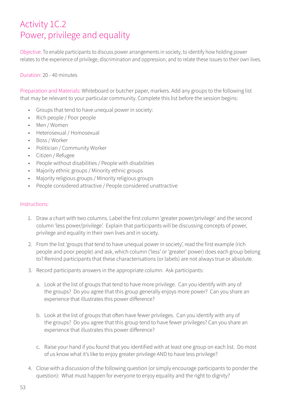### Activity 1C.2 Power, privilege and equality

Objective: To enable participants to discuss power arrangements in society, to identify how holding power relates to the experience of privilege, discrimination and oppression, and to relate these issues to their own lives.

#### Duration: 20 - 40 minutes

Preparation and Materials: Whiteboard or butcher paper, markers. Add any groups to the following list that may be relevant to your particular community. Complete this list before the session begins:

- Groups that tend to have unequal power in society:
- Rich people / Poor people
- Men / Women
- Heterosexual / Homosexual
- Boss / Worker
- Politician / Community Worker
- Citizen / Refugee
- People without disabilities / People with disabilities
- Majority ethnic groups / Minority ethnic groups
- Majority religious groups / Minority religious groups
- People considered attractive / People considered unattractive

- 1. Draw a chart with two columns. Label the first column 'greater power/privilege' and the second column 'less power/privilege'. Explain that participants will be discussing concepts of power, privilege and equality in their own lives and in society.
- 2. From the list 'groups that tend to have unequal power in society', read the first example (rich people and poor people) and ask, which column ('less' or 'greater' power) does each group belong to? Remind participants that these characterisations (or labels) are not always true or absolute.
- 3. Record participants answers in the appropriate column. Ask participants:
	- a. Look at the list of groups that tend to have more privilege. Can you identify with any of the groups? Do you agree that this group generally enjoys more power? Can you share an experience that illustrates this power difference?
	- b. Look at the list of groups that often have fewer privileges. Can you identify with any of the groups? Do you agree that this group tend to have fewer privileges? Can you share an experience that illustrates this power difference?
	- c. Raise your hand if you found that you identified with at least one group on each list. Do most of us know what it's like to enjoy greater privilege AND to have less privilege?
- 4. Close with a discussion of the following question (or simply encourage participants to ponder the question): What must happen for everyone to enjoy equality and the right to dignity?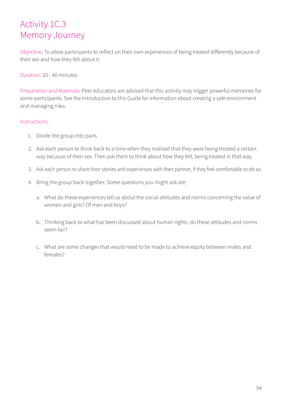### Activity 1C.3 Memory Journey

Objective: To allow participants to reflect on their own experiences of being treated differently because of their sex and how they felt about it.

#### Duration: 20 - 40 minutes

Preparation and Materials: Peer educators are advised that this activity may trigger powerful memories for some participants. See the Introduction to this Guide for information about creating a safe environment and managing risks.

- 1. Divide the group into pairs.
- 2. Ask each person to think back to a time when they realised that they were being treated a certain way because of their sex. Then ask them to think about how they felt, being treated in that way.
- 3. Ask each person to share their stories and experiences with their partner, if they feel comfortable to do so.
- 4. Bring the group back together. Some questions you might ask are:
	- a. What do these experiences tell us about the social attitudes and norms concerning the value of women and girls? Of men and boys?
	- b. Thinking back to what has been discussed about human rights, do these attitudes and norms seem fair?
	- c. What are some changes that would need to be made to achieve equity between males and females?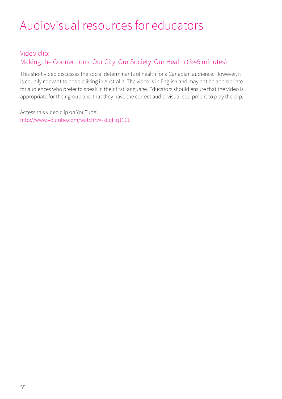# Audiovisual resources for educators

### Video clip:

### Making the Connections: Our City, Our Society, Our Health (3:45 minutes)

This short video discusses the social determinants of health for a Canadian audience. However, it is equally relevant to people living in Australia. The video is in English and may not be appropriate for audiences who prefer to speak in their first language. Educators should ensure that the video is appropriate for their group and that they have the correct audio-visual equipment to play the clip.

Access this video clip on YouTube: http://www.youtube.com/watch?v=-kEqFiq11CE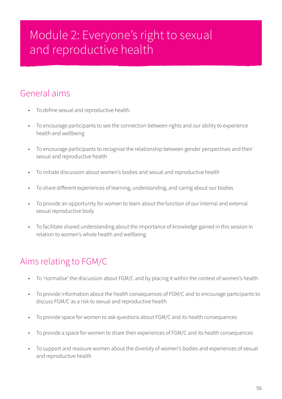## Module 2: Everyone's right to sexual and reproductive health

### General aims

- To define sexual and reproductive health.
- To encourage participants to see the connection between rights and our ability to experience health and wellbeing
- To encourage participants to recognise the relationship between gender perspectives and their sexual and reproductive health
- To initiate discussion about women's bodies and sexual and reproductive health
- To share different experiences of learning, understanding, and caring about our bodies
- To provide an opportunity for women to learn about the function of our internal and external sexual reproductive body
- To facilitate shared understanding about the importance of knowledge gained in this session in relation to women's whole health and wellbeing

## Aims relating to FGM/C

- To 'normalise' the discussion about FGM/C and by placing it within the context of women's health
- To provide information about the health consequences of FGM/C and to encourage participants to discuss FGM/C as a risk to sexual and reproductive health
- To provide space for women to ask questions about FGM/C and its health consequences
- To provide a space for women to share their experiences of FGM/C and its health consequences
- To support and reassure women about the diversity of women's bodies and experiences of sexual and reproductive health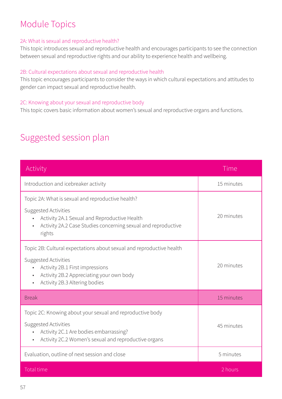### Module Topics

#### 2A: What is sexual and reproductive health?

This topic introduces sexual and reproductive health and encourages participants to see the connection between sexual and reproductive rights and our ability to experience health and wellbeing.

#### 2B: Cultural expectations about sexual and reproductive health

This topic encourages participants to consider the ways in which cultural expectations and attitudes to gender can impact sexual and reproductive health.

#### 2C: Knowing about your sexual and reproductive body

This topic covers basic information about women's sexual and reproductive organs and functions.

### Suggested session plan

| Activity                                                                                                                                                                                                                               | Time       |
|----------------------------------------------------------------------------------------------------------------------------------------------------------------------------------------------------------------------------------------|------------|
| Introduction and icebreaker activity                                                                                                                                                                                                   | 15 minutes |
| Topic 2A: What is sexual and reproductive health?<br>Suggested Activities<br>Activity 2A.1 Sexual and Reproductive Health<br>Activity 2A.2 Case Studies concerning sexual and reproductive<br>$\bullet$<br>rights                      | 20 minutes |
| Topic 2B: Cultural expectations about sexual and reproductive health<br>Suggested Activities<br>Activity 2B.1 First impressions<br>Activity 2B.2 Appreciating your own body<br>$\bullet$<br>Activity 2B.3 Altering bodies<br>$\bullet$ | 20 minutes |
| <b>Break</b>                                                                                                                                                                                                                           | 15 minutes |
| Topic 2C: Knowing about your sexual and reproductive body<br>Suggested Activities<br>Activity 2C.1 Are bodies embarrassing?<br>Activity 2C.2 Women's sexual and reproductive organs                                                    | 45 minutes |
| Evaluation, outline of next session and close                                                                                                                                                                                          | 5 minutes  |
| Total time                                                                                                                                                                                                                             | 2 hours    |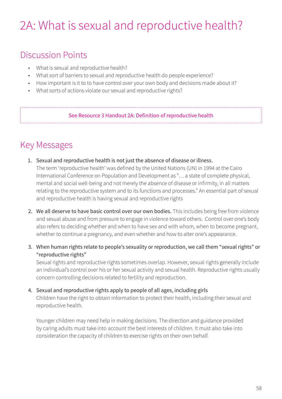# 2A: What is sexual and reproductive health?

### Discussion Points

- What is sexual and reproductive health?
- What sort of barriers to sexual and reproductive health do people experience?
- How important is it to to have control over your own body and decisions made about it?
- What sorts of actions violate our sexual and reproductive rights?

See Resource 3 Handout 2A: Definition of reproductive health

### Key Messages

- 1. Sexual and reproductive health is not just the absence of disease or illness. The term 'reproductive health' was defined by the United Nations (UN) in 1994 at the Cairo International Conference on Population and Development as "… a state of complete physical, mental and social well-being and not merely the absence of disease or infirmity, in all matters relating to the reproductive system and to its functions and processes." An essential part of sexual and reproductive health is having sexual and reproductive rights
- 2. We all deserve to have basic control over our own bodies. This includes being free from violence and sexual abuse and from pressure to engage in violence toward others. Control over one's body also refers to deciding whether and when to have sex and with whom, when to become pregnant, whether to continue a pregnancy, and even whether and how to alter one's appearance.
- 3. When human rights relate to people's sexuality or reproduction, we call them "sexual rights" or "reproductive rights"

Sexual rights and reproductive rights sometimes overlap. However, sexual rights generally include an individual's control over his or her sexual activity and sexual health. Reproductive rights usually concern controlling decisions related to fertility and reproduction.

4. Sexual and reproductive rights apply to people of all ages, including girls

Children have the right to obtain information to protect their health, including their sexual and reproductive health.

Younger children may need help in making decisions. The direction and guidance provided by caring adults must take into account the best interests of children. It must also take into consideration the capacity of children to exercise rights on their own behalf.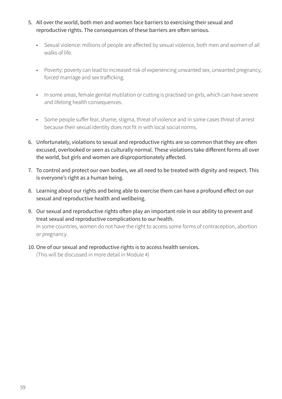- 5. All over the world, both men and women face barriers to exercising their sexual and reproductive rights. The consequences of these barriers are often serious.
	- Sexual violence: millions of people are affected by sexual violence, both men and women of all walks of life.
	- Poverty: poverty can lead to increased risk of experiencing unwanted sex, unwanted pregnancy, forced marriage and sex trafficking.
	- In some areas, female genital mutilation or cutting is practised on girls, which can have severe and lifelong health consequences.
	- Some people suffer fear, shame, stigma, threat of violence and in some cases threat of arrest because their sexual identity does not fit in with local social norms.
- 6. Unfortunately, violations to sexual and reproductive rights are so common that they are often excused, overlooked or seen as culturally normal. These violations take different forms all over the world, but girls and women are disproportionately affected.
- 7. To control and protect our own bodies, we all need to be treated with dignity and respect. This is everyone's right as a human being.
- 8. Learning about our rights and being able to exercise them can have a profound effect on our sexual and reproductive health and wellbeing.
- 9. Our sexual and reproductive rights often play an important role in our ability to prevent and treat sexual and reproductive complications to our health. In some countries, women do not have the right to access some forms of contraception, abortion or pregnancy.
- 10. One of our sexual and reproductive rights is to access health services. (This will be discussed in more detail in Module 4)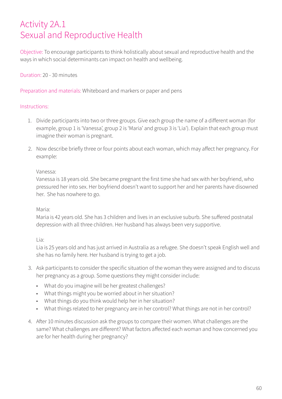### Activity 2A.1 Sexual and Reproductive Health

Objective: To encourage participants to think holistically about sexual and reproductive health and the ways in which social determinants can impact on health and wellbeing.

#### Duration: 20 - 30 minutes

Preparation and materials: Whiteboard and markers or paper and pens

#### Instructions:

- 1. Divide participants into two or three groups. Give each group the name of a different woman (for example, group 1 is 'Vanessa', group 2 is 'Maria' and group 3 is 'Lia'). Explain that each group must imagine their woman is pregnant.
- 2. Now describe briefly three or four points about each woman, which may affect her pregnancy. For example:

#### Vanessa:

Vanessa is 18 years old. She became pregnant the first time she had sex with her boyfriend, who pressured her into sex. Her boyfriend doesn't want to support her and her parents have disowned her. She has nowhere to go.

#### Maria:

Maria is 42 years old. She has 3 children and lives in an exclusive suburb. She suffered postnatal depression with all three children. Her husband has always been very supportive.

Lia:

Lia is 25 years old and has just arrived in Australia as a refugee. She doesn't speak English well and she has no family here. Her husband is trying to get a job.

- 3. Ask participants to consider the specific situation of the woman they were assigned and to discuss her pregnancy as a group. Some questions they might consider include:
	- What do you imagine will be her greatest challenges?
	- What things might you be worried about in her situation?
	- What things do you think would help her in her situation?
	- What things related to her pregnancy are in her control? What things are not in her control?
- 4. After 10 minutes discussion ask the groups to compare their women. What challenges are the same? What challenges are different? What factors affected each woman and how concerned you are for her health during her pregnancy?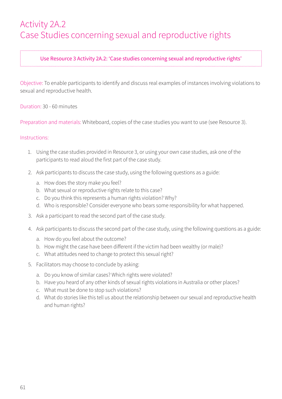### Activity 2A.2 Case Studies concerning sexual and reproductive rights

Use Resource 3 Activity 2A.2: 'Case studies concerning sexual and reproductive rights'

Objective: To enable participants to identify and discuss real examples of instances involving violations to sexual and reproductive health.

Duration: 30 - 60 minutes

Preparation and materials: Whiteboard, copies of the case studies you want to use (see Resource 3).

- 1. Using the case studies provided in Resource 3, or using your own case studies, ask one of the participants to read aloud the first part of the case study.
- 2. Ask participants to discuss the case study, using the following questions as a guide:
	- a. How does the story make you feel?
	- b. What sexual or reproductive rights relate to this case?
	- c. Do you think this represents a human rights violation? Why?
	- d. Who is responsible? Consider everyone who bears some responsibility for what happened.
- 3. Ask a participant to read the second part of the case study.
- 4. Ask participants to discuss the second part of the case study, using the following questions as a guide:
	- a. How do you feel about the outcome?
	- b. How might the case have been different if the victim had been wealthy (or male)?
	- c. What attitudes need to change to protect this sexual right?
- 5. Facilitators may choose to conclude by asking:
	- a. Do you know of similar cases? Which rights were violated?
	- b. Have you heard of any other kinds of sexual rights violations in Australia or other places?
	- c. What must be done to stop such violations?
	- d. What do stories like this tell us about the relationship between our sexual and reproductive health and human rights?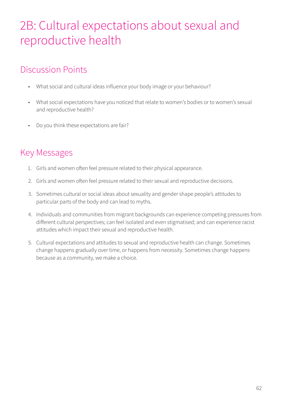## 2B: Cultural expectations about sexual and reproductive health

## Discussion Points

- What social and cultural ideas influence your body image or your behaviour?
- What social expectations have you noticed that relate to women's bodies or to women's sexual and reproductive health?
- Do you think these expectations are fair?

## Key Messages

- 1. Girls and women often feel pressure related to their physical appearance.
- 2. Girls and women often feel pressure related to their sexual and reproductive decisions.
- 3. Sometimes cultural or social ideas about sexuality and gender shape people's attitudes to particular parts of the body and can lead to myths.
- 4. Individuals and communities from migrant backgrounds can experience competing pressures from different cultural perspectives; can feel isolated and even stigmatised; and can experience racist attitudes which impact their sexual and reproductive health.
- 5. Cultural expectations and attitudes to sexual and reproductive health can change. Sometimes change happens gradually over time, or happens from necessity. Sometimes change happens because as a community, we make a choice.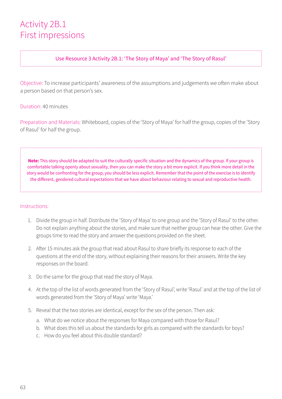### Activity 2B.1 First impressions

#### Use Resource 3 Activity 2B.1: 'The Story of Maya' and 'The Story of Rasul'

Objective: To increase participants' awareness of the assumptions and judgements we often make about a person based on that person's sex.

#### Duration: 40 minutes

Preparation and Materials: Whiteboard, copies of the 'Story of Maya' for half the group, copies of the 'Story of Rasul' for half the group.

**Note:** This story should be adapted to suit the culturally specific situation and the dynamics of the group. If your group is comfortable talking openly about sexuality, then you can make the story a bit more explicit. If you think more detail in the story would be confronting for the group, you should be less explicit. Remember that the point of the exercise is to identify the different, gendered cultural expectations that we have about behaviour relating to sexual and reproductive health.

- 1. Divide the group in half. Distribute the 'Story of Maya' to one group and the 'Story of Rasul' to the other. Do not explain anything about the stories, and make sure that neither group can hear the other. Give the groups time to read the story and answer the questions provided on the sheet.
- 2. After 15 minutes ask the group that read about Rasul to share briefly its response to each of the questions at the end of the story, without explaining their reasons for their answers. Write the key responses on the board.
- 3. Do the same for the group that read the story of Maya.
- 4. At the top of the list of words generated from the 'Story of Rasul', write 'Rasul' and at the top of the list of words generated from the 'Story of Maya' write 'Maya.'
- 5. Reveal that the two stories are identical, except for the sex of the person. Then ask:
	- a. What do we notice about the responses for Maya compared with those for Rasul?
	- b. What does this tell us about the standards for girls as compared with the standards for boys?
	- c. How do you feel about this double standard?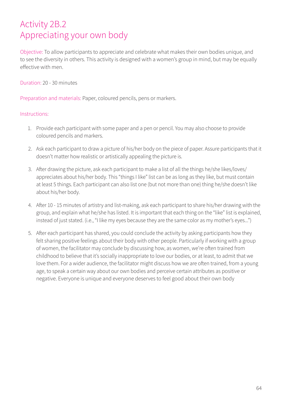### Activity 2B.2 Appreciating your own body

Objective: To allow participants to appreciate and celebrate what makes their own bodies unique, and to see the diversity in others. This activity is designed with a women's group in mind, but may be equally effective with men.

Duration: 20 - 30 minutes

Preparation and materials: Paper, coloured pencils, pens or markers.

- 1. Provide each participant with some paper and a pen or pencil. You may also choose to provide coloured pencils and markers.
- 2. Ask each participant to draw a picture of his/her body on the piece of paper. Assure participants that it doesn't matter how realistic or artistically appealing the picture is.
- 3. After drawing the picture, ask each participant to make a list of all the things he/she likes/loves/ appreciates about his/her body. This "things I like" list can be as long as they like, but must contain at least 5 things. Each participant can also list one (but not more than one) thing he/she doesn't like about his/her body.
- 4. After 10 15 minutes of artistry and list-making, ask each participant to share his/her drawing with the group, and explain what he/she has listed. It is important that each thing on the "like" list is explained, instead of just stated. (i.e., "I like my eyes because they are the same color as my mother's eyes...")
- 5. After each participant has shared, you could conclude the activity by asking participants how they felt sharing positive feelings about their body with other people. Particularly if working with a group of women, the facilitator may conclude by discussing how, as women, we're often trained from childhood to believe that it's socially inappropriate to love our bodies, or at least, to admit that we love them. For a wider audience, the facilitator might discuss how we are often trained, from a young age, to speak a certain way about our own bodies and perceive certain attributes as positive or negative. Everyone is unique and everyone deserves to feel good about their own body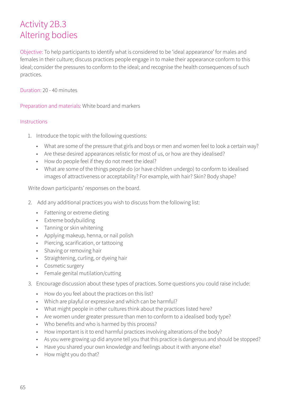### Activity 2B.3 Altering bodies

Objective: To help participants to identify what is considered to be 'ideal appearance' for males and females in their culture; discuss practices people engage in to make their appearance conform to this ideal; consider the pressures to conform to the ideal; and recognise the health consequences of such practices.

#### Duration: 20 - 40 minutes

Preparation and materials: White board and markers

#### Instructions

- 1. Introduce the topic with the following questions:
	- What are some of the pressure that girls and boys or men and women feel to look a certain way?
	- Are these desired appearances relistic for most of us, or how are they idealised?
	- How do people feel if they do not meet the ideal?
	- What are some of the things people do (or have children undergo) to conform to idealised images of attractiveness or acceptability? For example, with hair? Skin? Body shape?

Write down participants' responses on the board.

- 2. Add any additional practices you wish to discuss from the following list:
	- Fattening or extreme dieting
	- Extreme bodybuilding
	- Tanning or skin whitening
	- Applying makeup, henna, or nail polish
	- Piercing, scarification, or tattooing
	- Shaving or removing hair
	- Straightening, curling, or dyeing hair
	- Cosmetic surgery
	- Female genital mutilation/cutting
- 3. Encourage discussion about these types of practices. Some questions you could raise include:
	- How do you feel about the practices on this list?
	- Which are playful or expressive and which can be harmful?
	- What might people in other cultures think about the practices listed here?
	- Are women under greater pressure than men to conform to a idealised body type?
	- Who benefits and who is harmed by this process?
	- How important is it to end harmful practices involving alterations of the body?
	- As you were growing up did anyone tell you that this practice is dangerous and should be stopped?
	- Have you shared your own knowledge and feelings about it with anyone else?
	- How might you do that?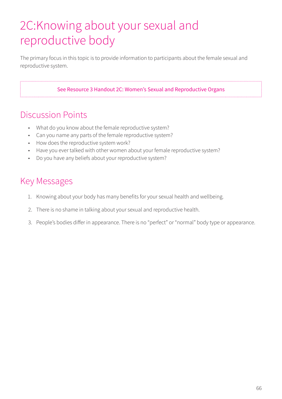# 2C:Knowing about your sexual and reproductive body

The primary focus in this topic is to provide information to participants about the female sexual and reproductive system.

#### See Resource 3 Handout 2C: Women's Sexual and Reproductive Organs

### Discussion Points

- What do you know about the female reproductive system?
- Can you name any parts of the female reproductive system?
- How does the reproductive system work?
- Have you ever talked with other women about your female reproductive system?
- Do you have any beliefs about your reproductive system?

### Key Messages

- 1. Knowing about your body has many benefits for your sexual health and wellbeing.
- 2. There is no shame in talking about your sexual and reproductive health.
- 3. People's bodies differ in appearance. There is no "perfect" or "normal" body type or appearance.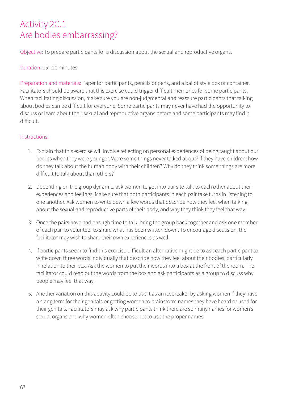### Activity 2C.1 Are bodies embarrassing?

Objective: To prepare participants for a discussion about the sexual and reproductive organs.

#### Duration: 15 - 20 minutes

Preparation and materials: Paper for participants, pencils or pens, and a ballot style box or container. Facilitators should be aware that this exercise could trigger difficult memories for some participants. When facilitating discussion, make sure you are non-judgmental and reassure participants that talking about bodies can be difficult for everyone. Some participants may never have had the opportunity to discuss or learn about their sexual and reproductive organs before and some participants may find it difficult.

- 1. Explain that this exercise will involve reflecting on personal experiences of being taught about our bodies when they were younger. Were some things never talked about? If they have children, how do they talk about the human body with their children? Why do they think some things are more difficult to talk about than others?
- 2. Depending on the group dynamic, ask women to get into pairs to talk to each other about their experiences and feelings. Make sure that both participants in each pair take turns in listening to one another. Ask women to write down a few words that describe how they feel when talking about the sexual and reproductive parts of their body, and why they think they feel that way.
- 3. Once the pairs have had enough time to talk, bring the group back together and ask one member of each pair to volunteer to share what has been written down. To encourage discussion, the facilitator may wish to share their own experiences as well.
- 4. If participants seem to find this exercise difficult an alternative might be to ask each participant to write down three words individually that describe how they feel about their bodies, particularly in relation to their sex. Ask the women to put their words into a box at the front of the room. The facilitator could read out the words from the box and ask participants as a group to discuss why people may feel that way.
- 5. Another variation on this activity could be to use it as an icebreaker by asking women if they have a slang term for their genitals or getting women to brainstorm names they have heard or used for their genitals. Facilitators may ask why participants think there are so many names for women's sexual organs and why women often choose not to use the proper names.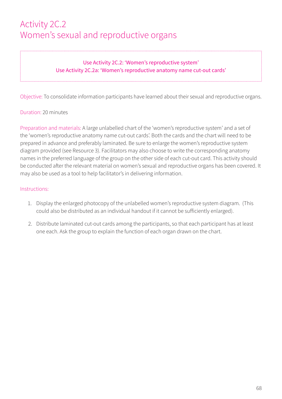### Activity 2C.2 Women's sexual and reproductive organs

#### Use Activity 2C.2: 'Women's reproductive system' Use Activity 2C.2a: 'Women's reproductive anatomy name cut-out cards'

Objective: To consolidate information participants have learned about their sexual and reproductive organs.

#### Duration: 20 minutes

Preparation and materials: A large unlabelled chart of the 'women's reproductive system' and a set of the 'women's reproductive anatomy name cut-out cards'. Both the cards and the chart will need to be prepared in advance and preferably laminated. Be sure to enlarge the women's reproductive system diagram provided (see Resource 3). Facilitators may also choose to write the corresponding anatomy names in the preferred language of the group on the other side of each cut-out card. This activity should be conducted after the relevant material on women's sexual and reproductive organs has been covered. It may also be used as a tool to help facilitator's in delivering information.

- 1. Display the enlarged photocopy of the unlabelled women's reproductive system diagram. (This could also be distributed as an individual handout if it cannot be sufficiently enlarged).
- 2. Distribute laminated cut-out cards among the participants, so that each participant has at least one each. Ask the group to explain the function of each organ drawn on the chart.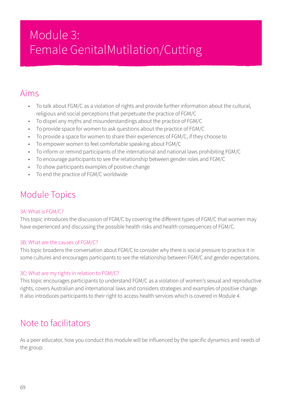# Module 3: Female GenitalMutilation/Cutting

### Aims

- To talk about FGM/C as a violation of rights and provide further information about the cultural, religious and social perceptions that perpetuate the practice of FGM/C
- To dispel any myths and misunderstandings about the practice of FGM/C
- To provide space for women to ask questions about the practice of FGM/C
- To provide a space for women to share their experiences of FGM/C, if they choose to
- To empower women to feel comfortable speaking about FGM/C
- To inform or remind participants of the international and national laws prohibiting FGM/C
- To encourage participants to see the relationship between gender roles and FGM/C
- To show participants examples of positive change
- To end the practice of FGM/C worldwide

### Module Topics

#### 3A: What is FGM/C?

This topic introduces the discussion of FGM/C by covering the different types of FGM/C that women may have experienced and discussing the possible health risks and health consequences of FGM/C.

#### 3B: What are the causes of FGM/C?

This topic broadens the conversation about FGM/C to consider why there is social pressure to practice it in some cultures and encourages participants to see the relationship between FGM/C and gender expectations.

#### 3C: What are my rights in relation to FGM/C?

This topic encourages participants to understand FGM/C as a violation of women's sexual and reproductive rights, covers Australian and international laws and considers strategies and examples of positive change. It also introduces participants to their right to access health services which is covered in Module 4.

### Note to facilitators

As a peer educator, how you conduct this module will be influenced by the specific dynamics and needs of the group.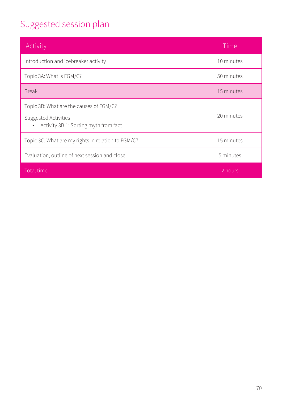## Suggested session plan

| Activity                                                                                                              | Time       |
|-----------------------------------------------------------------------------------------------------------------------|------------|
| Introduction and icebreaker activity                                                                                  | 10 minutes |
| Topic 3A: What is FGM/C?                                                                                              | 50 minutes |
| <b>Break</b>                                                                                                          | 15 minutes |
| Topic 3B: What are the causes of FGM/C?<br>Suggested Activities<br>Activity 3B.1: Sorting myth from fact<br>$\bullet$ | 20 minutes |
| Topic 3C: What are my rights in relation to FGM/C?                                                                    | 15 minutes |
| Evaluation, outline of next session and close                                                                         | 5 minutes  |
| Total time                                                                                                            | 2 hours    |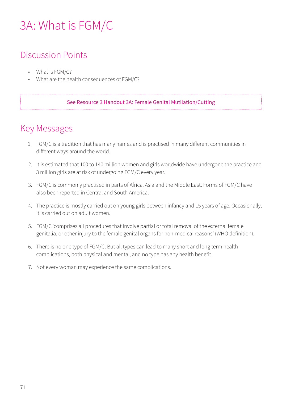## 3A: What is FGM/C

### Discussion Points

- What is FGM/C?
- What are the health consequences of FGM/C?

#### See Resource 3 Handout 3A: Female Genital Mutilation/Cutting

### Key Messages

- 1. FGM/C is a tradition that has many names and is practised in many different communities in different ways around the world.
- 2. It is estimated that 100 to 140 million women and girls worldwide have undergone the practice and 3 million girls are at risk of undergoing FGM/C every year.
- 3. FGM/C is commonly practised in parts of Africa, Asia and the Middle East. Forms of FGM/C have also been reported in Central and South America.
- 4. The practice is mostly carried out on young girls between infancy and 15 years of age. Occasionally, it is carried out on adult women.
- 5. FGM/C 'comprises all procedures that involve partial or total removal of the external female genitalia, or other injury to the female genital organs for non-medical reasons' (WHO definition).
- 6. There is no one type of FGM/C. But all types can lead to many short and long term health complications, both physical and mental, and no type has any health benefit.
- 7. Not every woman may experience the same complications.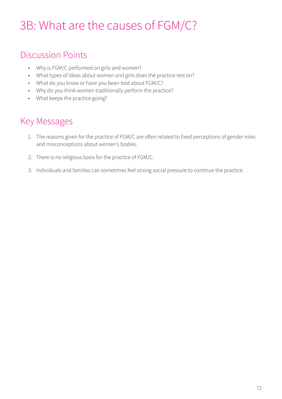# 3B: What are the causes of FGM/C?

### Discussion Points

- Why is FGM/C performed on girls and women?
- What types of ideas about women and girls does the practice rest on?
- What do you know or have you been told about FGM/C?
- Why do you think women traditionally perform the practice?
- What keeps the practice going?

## Key Messages

- 1. The reasons given for the practice of FGM/C are often related to fixed perceptions of gender roles and misconceptions about women's bodies.
- 2. There is no religious basis for the practice of FGM/C.
- 3. Individuals and families can sometimes feel strong social pressure to continue the practice.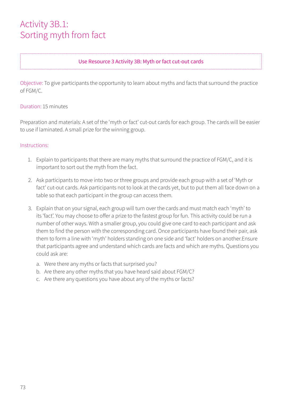### Activity 3B.1: Sorting myth from fact

#### Use Resource 3 Activity 3B: Myth or fact cut-out cards

Objective: To give participants the opportunity to learn about myths and facts that surround the practice of FGM/C.

#### Duration: 15 minutes

Preparation and materials: A set of the 'myth or fact' cut-out cards for each group. The cards will be easier to use if laminated. A small prize for the winning group.

- 1. Explain to participants that there are many myths that surround the practice of FGM/C, and it is important to sort out the myth from the fact.
- 2. Ask participants to move into two or three groups and provide each group with a set of 'Myth or fact' cut-out cards. Ask participants not to look at the cards yet, but to put them all face down on a table so that each participant in the group can access them.
- 3. Explain that on your signal, each group will turn over the cards and must match each 'myth' to its 'fact'. You may choose to offer a prize to the fastest group for fun. This activity could be run a number of other ways. With a smaller group, you could give one card to each participant and ask them to find the person with the corresponding card. Once participants have found their pair, ask them to form a line with 'myth' holders standing on one side and 'fact' holders on another.Ensure that participants agree and understand which cards are facts and which are myths. Questions you could ask are:
	- a. Were there any myths or facts that surprised you?
	- b. Are there any other myths that you have heard said about FGM/C?
	- c. Are there any questions you have about any of the myths or facts?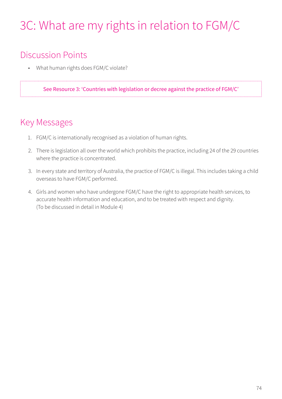# 3C: What are my rights in relation to FGM/C

### Discussion Points

• What human rights does FGM/C violate?

See Resource 3: 'Countries with legislation or decree against the practice of FGM/C'

### Key Messages

- 1. FGM/C is internationally recognised as a violation of human rights.
- 2. There is legislation all over the world which prohibits the practice, including 24 of the 29 countries where the practice is concentrated.
- 3. In every state and territory of Australia, the practice of FGM/C is illegal. This includes taking a child overseas to have FGM/C performed.
- 4. Girls and women who have undergone FGM/C have the right to appropriate health services, to accurate health information and education, and to be treated with respect and dignity. (To be discussed in detail in Module 4)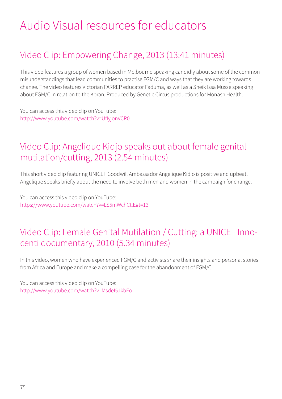# Audio Visual resources for educators

## Video Clip: Empowering Change, 2013 (13:41 minutes)

This video features a group of women based in Melbourne speaking candidly about some of the common misunderstandings that lead communities to practise FGM/C and ways that they are working towards change. The video features Victorian FARREP educator Faduma, as well as a Sheik Issa Musse speaking about FGM/C in relation to the Koran. Produced by Genetic Circus productions for Monash Health.

You can access this video clip on YouTube: http://www.youtube.com/watch?v=UfIyjonVCR0

### Video Clip: Angelique Kidjo speaks out about female genital mutilation/cutting, 2013 (2.54 minutes)

This short video clip featuring UNICEF Goodwill Ambassador Angelique Kidjo is positive and upbeat. Angelique speaks briefly about the need to involve both men and women in the campaign for change.

You can access this video clip on YouTube: https://www.youtube.com/watch?v=LS5mWchCtlE#t=13

### Video Clip: Female Genital Mutilation / Cutting: a UNICEF Innocenti documentary, 2010 (5.34 minutes)

In this video, women who have experienced FGM/C and activists share their insights and personal stories from Africa and Europe and make a compelling case for the abandonment of FGM/C.

You can access this video clip on YouTube: http://www.youtube.com/watch?v=MsdeI5JkbEo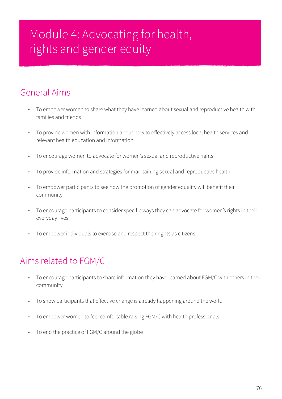# Module 4: Advocating for health, rights and gender equity

### General Aims

- To empower women to share what they have learned about sexual and reproductive health with families and friends
- To provide women with information about how to effectively access local health services and relevant health education and information
- To encourage women to advocate for women's sexual and reproductive rights
- To provide information and strategies for maintaining sexual and reproductive health
- To empower participants to see how the promotion of gender equality will benefit their community
- To encourage participants to consider specific ways they can advocate for women's rights in their everyday lives
- To empower individuals to exercise and respect their rights as citizens

## Aims related to FGM/C

- To encourage participants to share information they have learned about FGM/C with others in their community
- To show participants that effective change is already happening around the world
- To empower women to feel comfortable raising FGM/C with health professionals
- To end the practice of FGM/C around the globe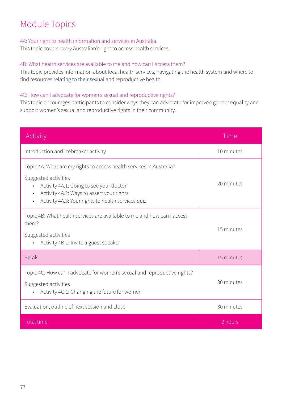## Module Topics

#### 4A: Your right to health information and services in Australia.

This topic covers every Australian's right to access health services.

#### 4B: What health services are available to me and how can I access them?

This topic provides information about local health services, navigating the health system and where to find resources relating to their sexual and reproductive health.

#### 4C: How can I advocate for women's sexual and reproductive rights?

This topic encourages participants to consider ways they can advocate for improved gender equality and support women's sexual and reproductive rights in their community.

| Activity                                                                                                                                                                                                                                                             | Time       |
|----------------------------------------------------------------------------------------------------------------------------------------------------------------------------------------------------------------------------------------------------------------------|------------|
| Introduction and icebreaker activity                                                                                                                                                                                                                                 | 10 minutes |
| Topic 4A: What are my rights to access health services in Australia?<br>Suggested activities<br>Activity 4A.1: Going to see your doctor<br>$\bullet$<br>Activity 4A.2: Ways to assert your rights<br>$\bullet$<br>Activity 4A.3: Your rights to health services quiz | 20 minutes |
| Topic 4B: What health services are available to me and how can I access<br>them?<br>Suggested activities<br>Activity 4B.1: Invite a guest speaker                                                                                                                    | 15 minutes |
| <b>Break</b>                                                                                                                                                                                                                                                         | 15 minutes |
| Topic 4C: How can I advocate for women's sexual and reproductive rights?<br>Suggested activities<br>Activity 4C.1: Changing the future for women                                                                                                                     | 30 minutes |
| Evaluation, outline of next session and close                                                                                                                                                                                                                        | 30 minutes |
| Total time                                                                                                                                                                                                                                                           | 2 hours    |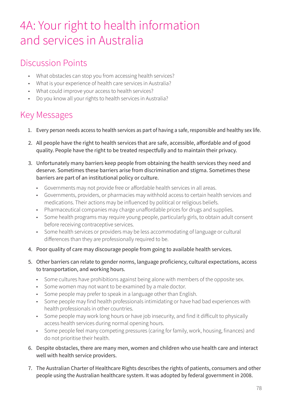## 4A: Your right to health information and services in Australia

### Discussion Points

- What obstacles can stop you from accessing health services?
- What is your experience of health care services in Australia?
- What could improve your access to health services?
- Do you know all your rights to health services in Australia?

### Key Messages

- 1. Every person needs access to health services as part of having a safe, responsible and healthy sex life.
- 2. All people have the right to health services that are safe, accessible, affordable and of good quality. People have the right to be treated respectfully and to maintain their privacy.
- 3. Unfortunately many barriers keep people from obtaining the health services they need and deserve. Sometimes these barriers arise from discrimination and stigma. Sometimes these barriers are part of an institutional policy or culture.
	- Governments may not provide free or affordable health services in all areas.
	- Governments, providers, or pharmacies may withhold access to certain health services and medications. Their actions may be influenced by political or religious beliefs.
	- Pharmaceutical companies may charge unaffordable prices for drugs and supplies.
	- Some health programs may require young people, particularly girls, to obtain adult consent before receiving contraceptive services.
	- Some health services or providers may be less accommodating of language or cultural differences than they are professionally required to be.
- 4. Poor quality of care may discourage people from going to available health services.
- 5. Other barriers can relate to gender norms, language proficiency, cultural expectations, access to transportation, and working hours.
	- Some cultures have prohibitions against being alone with members of the opposite sex.
	- Some women may not want to be examined by a male doctor.
	- Some people may prefer to speak in a language other than English.
	- Some people may find health professionals intimidating or have had bad experiences with health professionals in other countries.
	- Some people may work long hours or have job insecurity, and find it difficult to physically access health services during normal opening hours.
	- Some people feel many competing pressures (caring for family, work, housing, finances) and do not prioritise their health.
- 6. Despite obstacles, there are many men, women and children who use health care and interact well with health service providers.
- 7. The Australian Charter of Healthcare Rights describes the rights of patients, consumers and other people using the Australian healthcare system. It was adopted by federal government in 2008.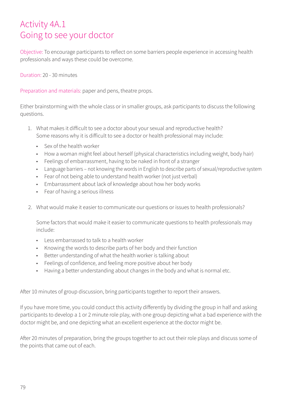### Activity 4A.1 Going to see your doctor

Objective: To encourage participants to reflect on some barriers people experience in accessing health professionals and ways these could be overcome.

Duration: 20 - 30 minutes

Preparation and materials: paper and pens, theatre props.

Either brainstorming with the whole class or in smaller groups, ask participants to discuss the following questions.

- 1. What makes it difficult to see a doctor about your sexual and reproductive health? Some reasons why it is difficult to see a doctor or health professional may include:
	- Sex of the health worker
	- How a woman might feel about herself (physical characteristics including weight, body hair)
	- Feelings of embarrassment, having to be naked in front of a stranger
	- Language barriers not knowing the words in English to describe parts of sexual/reproductive system
	- Fear of not being able to understand health worker (not just verbal)
	- Embarrassment about lack of knowledge about how her body works
	- Fear of having a serious illness
- 2. What would make it easier to communicate our questions or issues to health professionals?

Some factors that would make it easier to communicate questions to health professionals may include:

- Less embarrassed to talk to a health worker
- Knowing the words to describe parts of her body and their function
- Better understanding of what the health worker is talking about
- Feelings of confidence, and feeling more positive about her body
- Having a better understanding about changes in the body and what is normal etc.

After 10 minutes of group discussion, bring participants together to report their answers.

If you have more time, you could conduct this activity differently by dividing the group in half and asking participants to develop a 1 or 2 minute role play, with one group depicting what a bad experience with the doctor might be, and one depicting what an excellent experience at the doctor might be.

After 20 minutes of preparation, bring the groups together to act out their role plays and discuss some of the points that came out of each.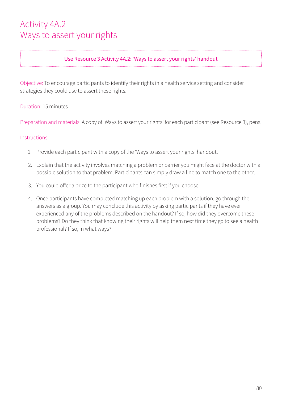### Activity 4A.2 Ways to assert your rights

#### Use Resource 3 Activity 4A.2: 'Ways to assert your rights' handout

Objective: To encourage participants to identify their rights in a health service setting and consider strategies they could use to assert these rights.

Duration: 15 minutes

Preparation and materials: A copy of 'Ways to assert your rights' for each participant (see Resource 3), pens.

- 1. Provide each participant with a copy of the 'Ways to assert your rights' handout.
- 2. Explain that the activity involves matching a problem or barrier you might face at the doctor with a possible solution to that problem. Participants can simply draw a line to match one to the other.
- 3. You could offer a prize to the participant who finishes first if you choose.
- 4. Once participants have completed matching up each problem with a solution, go through the answers as a group. You may conclude this activity by asking participants if they have ever experienced any of the problems described on the handout? If so, how did they overcome these problems? Do they think that knowing their rights will help them next time they go to see a health professional? If so, in what ways?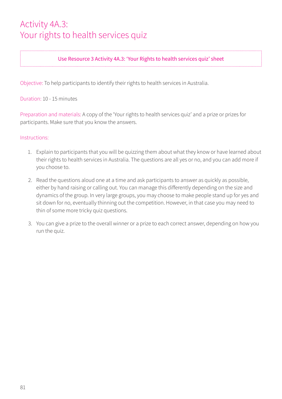### Activity 4A.3: Your rights to health services quiz

#### Use Resource 3 Activity 4A.3: 'Your Rights to health services quiz' sheet

Objective: To help participants to identify their rights to health services in Australia.

Duration: 10 - 15 minutes

Preparation and materials: A copy of the 'Your rights to health services quiz' and a prize or prizes for participants. Make sure that you know the answers.

- 1. Explain to participants that you will be quizzing them about what they know or have learned about their rights to health services in Australia. The questions are all yes or no, and you can add more if you choose to.
- 2. Read the questions aloud one at a time and ask participants to answer as quickly as possible, either by hand raising or calling out. You can manage this differently depending on the size and dynamics of the group. In very large groups, you may choose to make people stand up for yes and sit down for no, eventually thinning out the competition. However, in that case you may need to thin of some more tricky quiz questions.
- 3. You can give a prize to the overall winner or a prize to each correct answer, depending on how you run the quiz.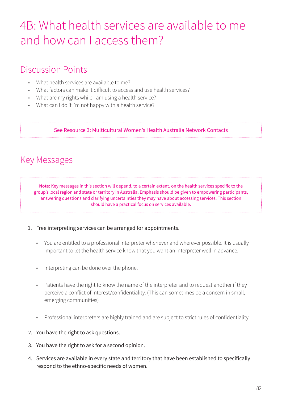## 4B: What health services are available to me and how can I access them?

### Discussion Points

- What health services are available to me?
- What factors can make it difficult to access and use health services?
- What are my rights while I am using a health service?
- What can I do if I'm not happy with a health service?

See Resource 3: Multicultural Women's Health Australia Network Contacts

### Key Messages

**Note:** Key messages in this section will depend, to a certain extent, on the health services specific to the group's local region and state or territory in Australia. Emphasis should be given to empowering participants, answering questions and clarifying uncertainties they may have about accessing services. This section should have a practical focus on services available.

#### 1. Free interpreting services can be arranged for appointments.

- You are entitled to a professional interpreter whenever and wherever possible. It is usually important to let the health service know that you want an interpreter well in advance.
- Interpreting can be done over the phone.
- Patients have the right to know the name of the interpreter and to request another if they perceive a conflict of interest/confidentiality. (This can sometimes be a concern in small, emerging communities)
- Professional interpreters are highly trained and are subject to strict rules of confidentiality.
- 2. You have the right to ask questions.
- 3. You have the right to ask for a second opinion.
- 4. Services are available in every state and territory that have been established to specifically respond to the ethno-specific needs of women.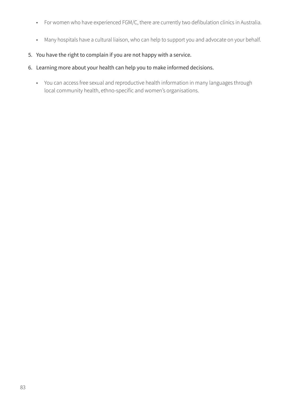- For women who have experienced FGM/C, there are currently two defibulation clinics in Australia.
- Many hospitals have a cultural liaison, who can help to support you and advocate on your behalf.
- 5. You have the right to complain if you are not happy with a service.
- 6. Learning more about your health can help you to make informed decisions.
	- You can access free sexual and reproductive health information in many languages through local community health, ethno-specific and women's organisations.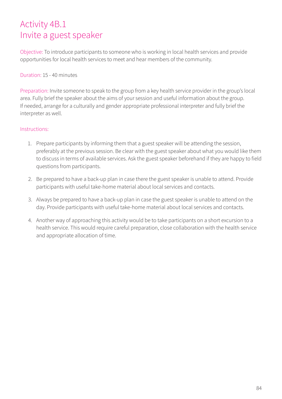### Activity 4B.1 Invite a guest speaker

Objective: To introduce participants to someone who is working in local health services and provide opportunities for local health services to meet and hear members of the community.

#### Duration: 15 - 40 minutes

Preparation: Invite someone to speak to the group from a key health service provider in the group's local area. Fully brief the speaker about the aims of your session and useful information about the group. If needed, arrange for a culturally and gender appropriate professional interpreter and fully brief the interpreter as well.

- 1. Prepare participants by informing them that a guest speaker will be attending the session, preferably at the previous session. Be clear with the guest speaker about what you would like them to discuss in terms of available services. Ask the guest speaker beforehand if they are happy to field questions from participants.
- 2. Be prepared to have a back-up plan in case there the guest speaker is unable to attend. Provide participants with useful take-home material about local services and contacts.
- 3. Always be prepared to have a back-up plan in case the guest speaker is unable to attend on the day. Provide participants with useful take-home material about local services and contacts.
- 4. Another way of approaching this activity would be to take participants on a short excursion to a health service. This would require careful preparation, close collaboration with the health service and appropriate allocation of time.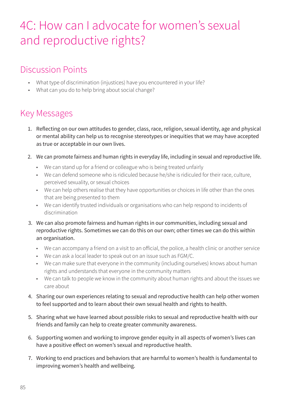# 4C: How can I advocate for women's sexual and reproductive rights?

### Discussion Points

- What type of discrimination (injustices) have you encountered in your life?
- What can you do to help bring about social change?

## Key Messages

- 1. Reflecting on our own attitudes to gender, class, race, religion, sexual identity, age and physical or mental ability can help us to recognise stereotypes or inequities that we may have accepted as true or acceptable in our own lives.
- 2. We can promote fairness and human rights in everyday life, including in sexual and reproductive life.
	- We can stand up for a friend or colleague who is being treated unfairly
	- We can defend someone who is ridiculed because he/she is ridiculed for their race, culture, perceived sexuality, or sexual choices
	- We can help others realise that they have opportunities or choices in life other than the ones that are being presented to them
	- We can identify trusted individuals or organisations who can help respond to incidents of discrimination
- 3. We can also promote fairness and human rights in our communities, including sexual and reproductive rights. Sometimes we can do this on our own; other times we can do this within an organisation.
	- We can accompany a friend on a visit to an official, the police, a health clinic or another service
	- We can ask a local leader to speak out on an issue such as FGM/C.
	- We can make sure that everyone in the community (including ourselves) knows about human rights and understands that everyone in the community matters
	- We can talk to people we know in the community about human rights and about the issues we care about
- 4. Sharing our own experiences relating to sexual and reproductive health can help other women to feel supported and to learn about their own sexual health and rights to health.
- 5. Sharing what we have learned about possible risks to sexual and reproductive health with our friends and family can help to create greater community awareness.
- 6. Supporting women and working to improve gender equity in all aspects of women's lives can have a positive effect on women's sexual and reproductive health.
- 7. Working to end practices and behaviors that are harmful to women's health is fundamental to improving women's health and wellbeing.